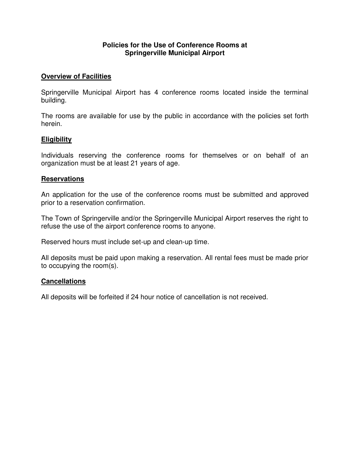## **Policies for the Use of Conference Rooms at Springerville Municipal Airport**

## **Overview of Facilities**

Springerville Municipal Airport has 4 conference rooms located inside the terminal building.

The rooms are available for use by the public in accordance with the policies set forth herein.

## **Eligibility**

Individuals reserving the conference rooms for themselves or on behalf of an organization must be at least 21 years of age.

## **Reservations**

An application for the use of the conference rooms must be submitted and approved prior to a reservation confirmation.

The Town of Springerville and/or the Springerville Municipal Airport reserves the right to refuse the use of the airport conference rooms to anyone.

Reserved hours must include set-up and clean-up time.

All deposits must be paid upon making a reservation. All rental fees must be made prior to occupying the room(s).

## **Cancellations**

All deposits will be forfeited if 24 hour notice of cancellation is not received.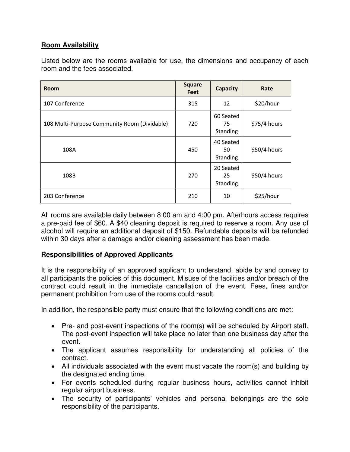# **Room Availability**

Listed below are the rooms available for use, the dimensions and occupancy of each room and the fees associated.

| <b>Room</b>                                  | <b>Square</b><br><b>Feet</b> | <b>Capacity</b>             | Rate         |
|----------------------------------------------|------------------------------|-----------------------------|--------------|
| 107 Conference                               | 315                          | 12                          | \$20/hour    |
| 108 Multi-Purpose Community Room (Dividable) | 720                          | 60 Seated<br>75<br>Standing | \$75/4 hours |
| 108A                                         | 450                          | 40 Seated<br>50<br>Standing | \$50/4 hours |
| 108B                                         | 270                          | 20 Seated<br>25<br>Standing | \$50/4 hours |
| 203 Conference                               | 210                          | 10                          | \$25/hour    |

All rooms are available daily between 8:00 am and 4:00 pm. Afterhours access requires a pre-paid fee of \$60. A \$40 cleaning deposit is required to reserve a room. Any use of alcohol will require an additional deposit of \$150. Refundable deposits will be refunded within 30 days after a damage and/or cleaning assessment has been made.

# **Responsibilities of Approved Applicants**

It is the responsibility of an approved applicant to understand, abide by and convey to all participants the policies of this document. Misuse of the facilities and/or breach of the contract could result in the immediate cancellation of the event. Fees, fines and/or permanent prohibition from use of the rooms could result.

In addition, the responsible party must ensure that the following conditions are met:

- Pre- and post-event inspections of the room(s) will be scheduled by Airport staff. The post-event inspection will take place no later than one business day after the event.
- The applicant assumes responsibility for understanding all policies of the contract.
- All individuals associated with the event must vacate the room(s) and building by the designated ending time.
- For events scheduled during regular business hours, activities cannot inhibit regular airport business.
- The security of participants' vehicles and personal belongings are the sole responsibility of the participants.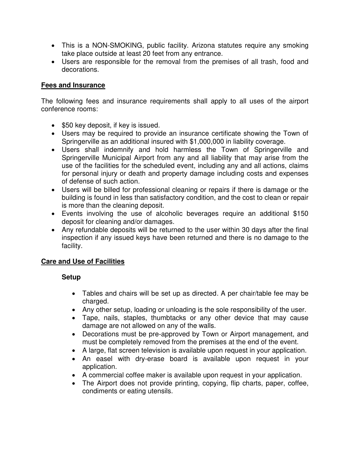- This is a NON-SMOKING, public facility. Arizona statutes require any smoking take place outside at least 20 feet from any entrance.
- Users are responsible for the removal from the premises of all trash, food and decorations.

## **Fees and Insurance**

The following fees and insurance requirements shall apply to all uses of the airport conference rooms:

- \$50 key deposit, if key is issued.
- Users may be required to provide an insurance certificate showing the Town of Springerville as an additional insured with \$1,000,000 in liability coverage.
- Users shall indemnify and hold harmless the Town of Springerville and Springerville Municipal Airport from any and all liability that may arise from the use of the facilities for the scheduled event, including any and all actions, claims for personal injury or death and property damage including costs and expenses of defense of such action.
- Users will be billed for professional cleaning or repairs if there is damage or the building is found in less than satisfactory condition, and the cost to clean or repair is more than the cleaning deposit.
- Events involving the use of alcoholic beverages require an additional \$150 deposit for cleaning and/or damages.
- Any refundable deposits will be returned to the user within 30 days after the final inspection if any issued keys have been returned and there is no damage to the facility.

# **Care and Use of Facilities**

## **Setup**

- Tables and chairs will be set up as directed. A per chair/table fee may be charged.
- Any other setup, loading or unloading is the sole responsibility of the user.
- Tape, nails, staples, thumbtacks or any other device that may cause damage are not allowed on any of the walls.
- Decorations must be pre-approved by Town or Airport management, and must be completely removed from the premises at the end of the event.
- A large, flat screen television is available upon request in your application.
- An easel with dry-erase board is available upon request in your application.
- A commercial coffee maker is available upon request in your application.
- The Airport does not provide printing, copying, flip charts, paper, coffee, condiments or eating utensils.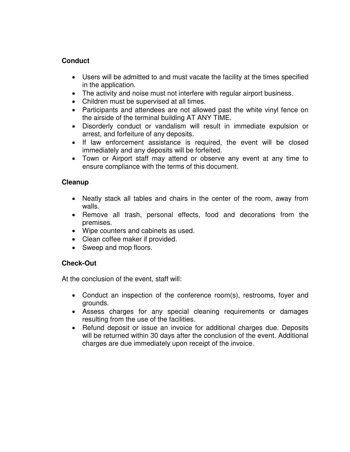# **Conduct**

- Users will be admitted to and must vacate the facility at the times specified in the application.
- The activity and noise must not interfere with regular airport business.
- Children must be supervised at all times.
- Participants and attendees are not allowed past the white vinyl fence on the airside of the terminal building AT ANY TIME.
- Disorderly conduct or vandalism will result in immediate expulsion or arrest, and forfeiture of any deposits.
- If law enforcement assistance is required, the event will be closed immediately and any deposits will be forfeited.
- Town or Airport staff may attend or observe any event at any time to ensure compliance with the terms of this document.

# **Cleanup**

- Neatly stack all tables and chairs in the center of the room, away from walls.
- Remove all trash, personal effects, food and decorations from the premises.
- Wipe counters and cabinets as used.
- Clean coffee maker if provided.
- Sweep and mop floors.

# **Check-Out**

At the conclusion of the event, staff will:

- Conduct an inspection of the conference room(s), restrooms, foyer and grounds.
- Assess charges for any special cleaning requirements or damages resulting from the use of the facilities.
- Refund deposit or issue an invoice for additional charges due. Deposits will be returned within 30 days after the conclusion of the event. Additional charges are due immediately upon receipt of the invoice.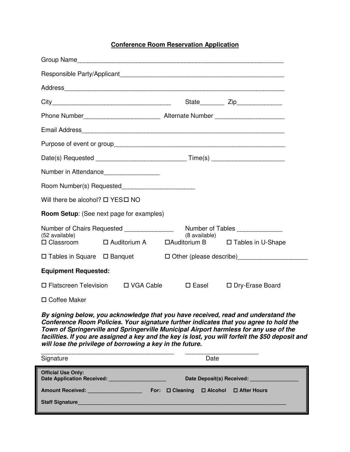#### **Conference Room Reservation Application**

|                                             | Address                                            |                 |                                                                                  |
|---------------------------------------------|----------------------------------------------------|-----------------|----------------------------------------------------------------------------------|
|                                             |                                                    |                 | State_________ Zip______________                                                 |
|                                             |                                                    |                 |                                                                                  |
|                                             |                                                    |                 |                                                                                  |
|                                             |                                                    |                 |                                                                                  |
|                                             |                                                    |                 | Date(s) Requested __________________________________Time(s) ____________________ |
|                                             | Number in Attendance                               |                 |                                                                                  |
|                                             | Room Number(s) Requested__________________________ |                 |                                                                                  |
| Will there be alcohol? $\Box$ YES $\Box$ NO |                                                    |                 |                                                                                  |
|                                             | <b>Room Setup:</b> (See next page for examples)    |                 |                                                                                  |
| (52 available)                              | Number of Chairs Requested ________________        | (8 available)   | Number of Tables                                                                 |
|                                             |                                                    |                 | □ Classroom □ Auditorium A □ Auditorium B □ Tables in U-Shape                    |
| $\Box$ Tables in Square $\Box$ Banquet      |                                                    |                 | □ Other (please describe)<br><u>□</u> Other (please describe)                    |
| <b>Equipment Requested:</b>                 |                                                    |                 |                                                                                  |
| $\Box$ Flatscreen Television                | □ VGA Cable                                        | $\square$ Easel | □ Dry-Erase Board                                                                |
| □ Coffee Maker                              |                                                    |                 |                                                                                  |

*By signing below, you acknowledge that you have received, read and understand the Conference Room Policies. Your signature further indicates that you agree to hold the Town of Springerville and Springerville Municipal Airport harmless for any use of the facilities. If you are assigned a key and the key is lost, you will forfeit the \$50 deposit and will lose the privilege of borrowing a key in the future.* 

| Signature                                                                 | Date                      |                                |  |               |
|---------------------------------------------------------------------------|---------------------------|--------------------------------|--|---------------|
| <b>Official Use Only:</b>                                                 | Date Deposit(s) Received: |                                |  |               |
| Amount Received: <b>Manual Amount Received:</b><br><b>Staff Signature</b> | For:                      | $\Box$ Cleaning $\Box$ Alcohol |  | □ After Hours |